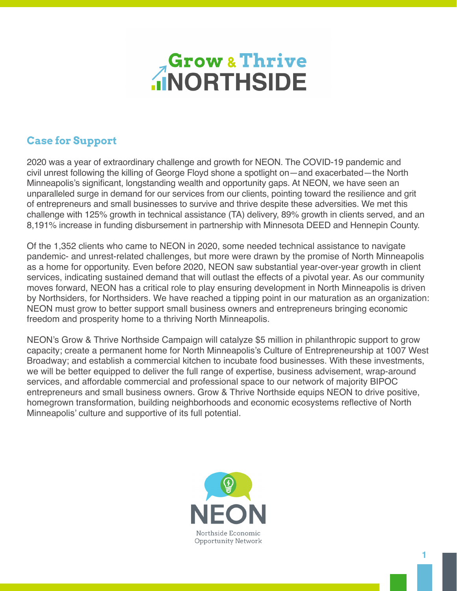

# **Case for Support**

2020 was a year of extraordinary challenge and growth for NEON. The COVID-19 pandemic and civil unrest following the killing of George Floyd shone a spotlight on—and exacerbated—the North Minneapolis's significant, longstanding wealth and opportunity gaps. At NEON, we have seen an unparalleled surge in demand for our services from our clients, pointing toward the resilience and grit of entrepreneurs and small businesses to survive and thrive despite these adversities. We met this challenge with 125% growth in technical assistance (TA) delivery, 89% growth in clients served, and an 8,191% increase in funding disbursement in partnership with Minnesota DEED and Hennepin County.

Of the 1,352 clients who came to NEON in 2020, some needed technical assistance to navigate pandemic- and unrest-related challenges, but more were drawn by the promise of North Minneapolis as a home for opportunity. Even before 2020, NEON saw substantial year-over-year growth in client services, indicating sustained demand that will outlast the effects of a pivotal year. As our community moves forward, NEON has a critical role to play ensuring development in North Minneapolis is driven by Northsiders, for Northsiders. We have reached a tipping point in our maturation as an organization: NEON must grow to better support small business owners and entrepreneurs bringing economic freedom and prosperity home to a thriving North Minneapolis.

NEON's Grow & Thrive Northside Campaign will catalyze \$5 million in philanthropic support to grow capacity; create a permanent home for North Minneapolis's Culture of Entrepreneurship at 1007 West Broadway; and establish a commercial kitchen to incubate food businesses. With these investments, we will be better equipped to deliver the full range of expertise, business advisement, wrap-around services, and affordable commercial and professional space to our network of majority BIPOC entrepreneurs and small business owners. Grow & Thrive Northside equips NEON to drive positive, homegrown transformation, building neighborhoods and economic ecosystems reflective of North Minneapolis' culture and supportive of its full potential.

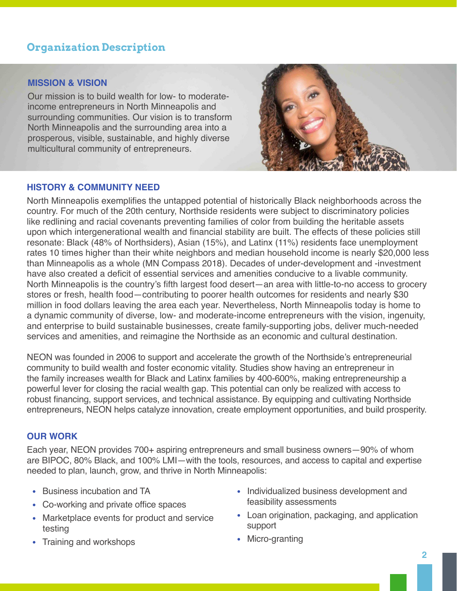# **Organization Description**

### **MISSION & VISION**

Our mission is to build wealth for low- to moderateincome entrepreneurs in North Minneapolis and surrounding communities. Our vision is to transform North Minneapolis and the surrounding area into a prosperous, visible, sustainable, and highly diverse multicultural community of entrepreneurs.



### **HISTORY & COMMUNITY NEED**

North Minneapolis exemplifies the untapped potential of historically Black neighborhoods across the country. For much of the 20th century, Northside residents were subject to discriminatory policies like redlining and racial covenants preventing families of color from building the heritable assets upon which intergenerational wealth and financial stability are built. The effects of these policies still resonate: Black (48% of Northsiders), Asian (15%), and Latinx (11%) residents face unemployment rates 10 times higher than their white neighbors and median household income is nearly \$20,000 less than Minneapolis as a whole (MN Compass 2018). Decades of under-development and -investment have also created a deficit of essential services and amenities conducive to a livable community. North Minneapolis is the country's fifth largest food desert—an area with little-to-no access to grocery stores or fresh, health food—contributing to poorer health outcomes for residents and nearly \$30 million in food dollars leaving the area each year. Nevertheless, North Minneapolis today is home to a dynamic community of diverse, low- and moderate-income entrepreneurs with the vision, ingenuity, and enterprise to build sustainable businesses, create family-supporting jobs, deliver much-needed services and amenities, and reimagine the Northside as an economic and cultural destination.

NEON was founded in 2006 to support and accelerate the growth of the Northside's entrepreneurial community to build wealth and foster economic vitality. Studies show having an entrepreneur in the family increases wealth for Black and Latinx families by 400-600%, making entrepreneurship a powerful lever for closing the racial wealth gap. This potential can only be realized with access to robust financing, support services, and technical assistance. By equipping and cultivating Northside entrepreneurs, NEON helps catalyze innovation, create employment opportunities, and build prosperity.

## **OUR WORK**

Each year, NEON provides 700+ aspiring entrepreneurs and small business owners—90% of whom are BIPOC, 80% Black, and 100% LMI—with the tools, resources, and access to capital and expertise needed to plan, launch, grow, and thrive in North Minneapolis:

- Business incubation and TA
- Co-working and private office spaces
- Marketplace events for product and service testing
- Training and workshops
- Individualized business development and feasibility assessments
- Loan origination, packaging, and application support
- Micro-granting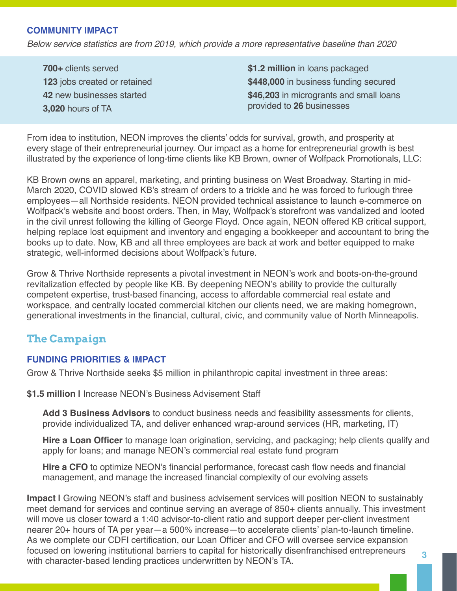### **COMMUNITY IMPACT**

*Below service statistics are from 2019, which provide a more representative baseline than 2020*

**700+** clients served **123** jobs created or retained **42** new businesses started **3,020** hours of TA

**\$1.2 million** in loans packaged **\$448,000** in business funding secured **\$46,203** in microgrants and small loans provided to **26** businesses

From idea to institution, NEON improves the clients' odds for survival, growth, and prosperity at every stage of their entrepreneurial journey. Our impact as a home for entrepreneurial growth is best illustrated by the experience of long-time clients like KB Brown, owner of Wolfpack Promotionals, LLC:

KB Brown owns an apparel, marketing, and printing business on West Broadway. Starting in mid-March 2020, COVID slowed KB's stream of orders to a trickle and he was forced to furlough three employees—all Northside residents. NEON provided technical assistance to launch e-commerce on Wolfpack's website and boost orders. Then, in May, Wolfpack's storefront was vandalized and looted in the civil unrest following the killing of George Floyd. Once again, NEON offered KB critical support, helping replace lost equipment and inventory and engaging a bookkeeper and accountant to bring the books up to date. Now, KB and all three employees are back at work and better equipped to make strategic, well-informed decisions about Wolfpack's future.

Grow & Thrive Northside represents a pivotal investment in NEON's work and boots-on-the-ground revitalization effected by people like KB. By deepening NEON's ability to provide the culturally competent expertise, trust-based financing, access to affordable commercial real estate and workspace, and centrally located commercial kitchen our clients need, we are making homegrown, generational investments in the financial, cultural, civic, and community value of North Minneapolis.

# **The Campaign**

### **FUNDING PRIORITIES & IMPACT**

Grow & Thrive Northside seeks \$5 million in philanthropic capital investment in three areas:

**\$1.5 million |** Increase NEON's Business Advisement Staff

**Add 3 Business Advisors** to conduct business needs and feasibility assessments for clients, provide individualized TA, and deliver enhanced wrap-around services (HR, marketing, IT)

**Hire a Loan Officer** to manage loan origination, servicing, and packaging; help clients qualify and apply for loans; and manage NEON's commercial real estate fund program

**Hire a CFO** to optimize NEON's financial performance, forecast cash flow needs and financial management, and manage the increased financial complexity of our evolving assets

**Impact |** Growing NEON's staff and business advisement services will position NEON to sustainably meet demand for services and continue serving an average of 850+ clients annually. This investment will move us closer toward a 1:40 advisor-to-client ratio and support deeper per-client investment nearer 20+ hours of TA per year—a 500% increase—to accelerate clients' plan-to-launch timeline. As we complete our CDFI certification, our Loan Officer and CFO will oversee service expansion focused on lowering institutional barriers to capital for historically disenfranchised entrepreneurs with character-based lending practices underwritten by NEON's TA. **3**